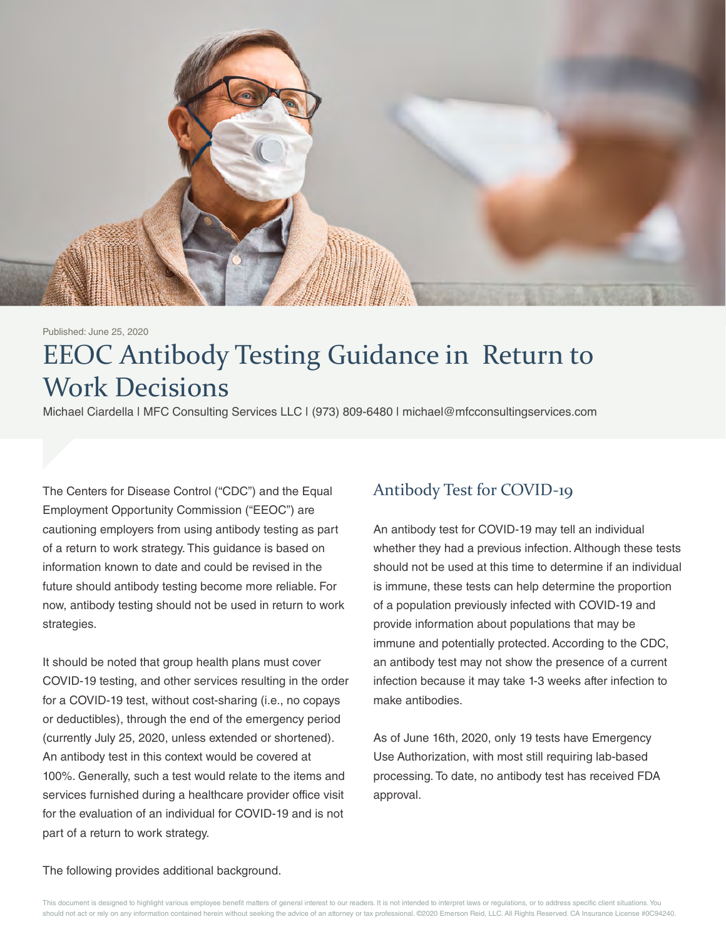

#### Published: June 25, 2020

# EEOC Antibody Testing Guidance in Return to Work Decisions

Michael Ciardella | MFC Consulting Services LLC | (973) 809-6480 | michael@mfcconsultingservices.com

The Centers for Disease Control ("CDC") and the Equal Employment Opportunity Commission ("EEOC") are cautioning employers from using antibody testing as part of a return to work strategy. This guidance is based on information known to date and could be revised in the future should antibody testing become more reliable. For now, antibody testing should not be used in return to work strategies.

It should be noted that group health plans must cover COVID-19 testing, and other services resulting in the order for a COVID-19 test, without cost-sharing (i.e., no copays or deductibles), through the end of the emergency period (currently July 25, 2020, unless extended or shortened). An antibody test in this context would be covered at 100%. Generally, such a test would relate to the items and services furnished during a healthcare provider office visit for the evaluation of an individual for COVID-19 and is not part of a return to work strategy.

#### Antibody Test for COVID-19

An antibody test for COVID-19 may tell an individual whether they had a previous infection. Although these tests should not be used at this time to determine if an individual is immune, these tests can help determine the proportion of a population previously infected with COVID-19 and provide information about populations that may be immune and potentially protected. According to the CDC, an antibody test may not show the presence of a current infection because it may take 1-3 weeks after infection to make antibodies.

As of June 16th, 2020, only 19 tests have Emergency Use Authorization, with most still requiring lab-based processing. To date, no antibody test has received FDA approval.

The following provides additional background.